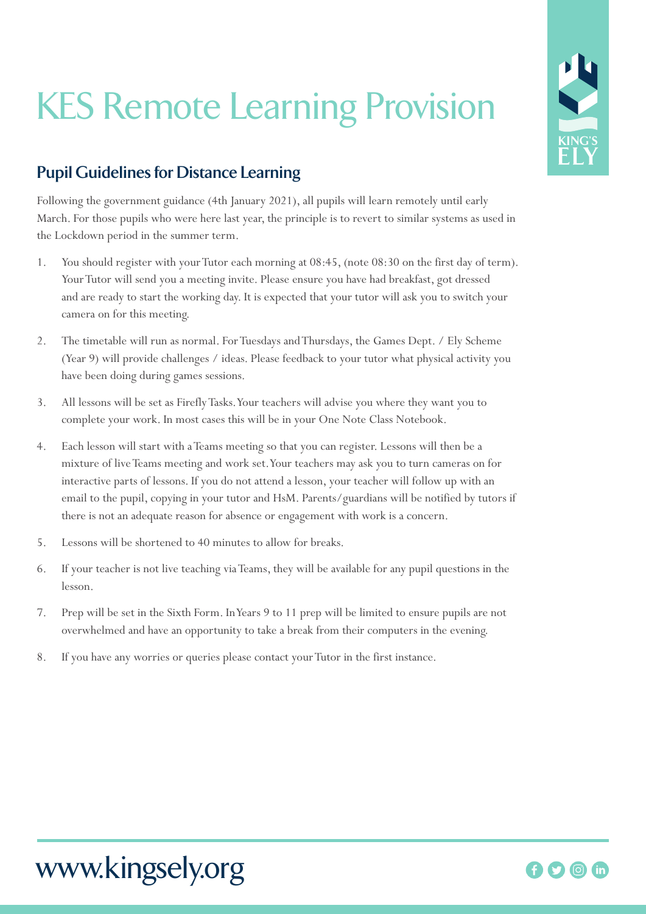## KES Remote Learning Provision

## **Pupil Guidelines for Distance Learning**

Following the government guidance (4th January 2021), all pupils will learn remotely until early March. For those pupils who were here last year, the principle is to revert to similar systems as used in the Lockdown period in the summer term.

- 1. You should register with your Tutor each morning at 08:45, (note 08:30 on the first day of term). Your Tutor will send you a meeting invite. Please ensure you have had breakfast, got dressed and are ready to start the working day. It is expected that your tutor will ask you to switch your camera on for this meeting.
- 2. The timetable will run as normal. For Tuesdays and Thursdays, the Games Dept. / Ely Scheme (Year 9) will provide challenges / ideas. Please feedback to your tutor what physical activity you have been doing during games sessions.
- 3. All lessons will be set as Firefly Tasks. Your teachers will advise you where they want you to complete your work. In most cases this will be in your One Note Class Notebook.
- 4. Each lesson will start with a Teams meeting so that you can register. Lessons will then be a mixture of live Teams meeting and work set. Your teachers may ask you to turn cameras on for interactive parts of lessons. If you do not attend a lesson, your teacher will follow up with an email to the pupil, copying in your tutor and HsM. Parents/guardians will be notified by tutors if there is not an adequate reason for absence or engagement with work is a concern.
- 5. Lessons will be shortened to 40 minutes to allow for breaks.
- 6. If your teacher is not live teaching via Teams, they will be available for any pupil questions in the lesson.
- 7. Prep will be set in the Sixth Form. In Years 9 to 11 prep will be limited to ensure pupils are not overwhelmed and have an opportunity to take a break from their computers in the evening.
- 8. If you have any worries or queries please contact your Tutor in the first instance.